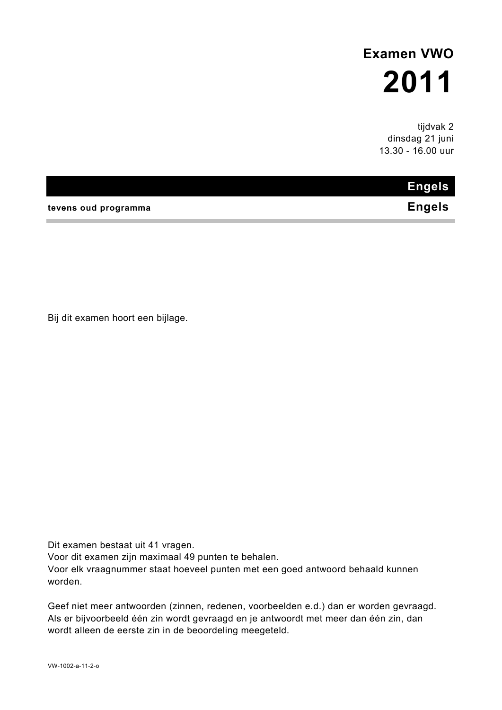# **Examen VWO 2011**

tijdvak 2 dinsdag 21 juni 13.30 - 16.00 uur

# **Engels**

**tevens oud programma Engels** 

Bij dit examen hoort een bijlage.

Dit examen bestaat uit 41 vragen.

Voor dit examen zijn maximaal 49 punten te behalen.

Voor elk vraagnummer staat hoeveel punten met een goed antwoord behaald kunnen worden.

Geef niet meer antwoorden (zinnen, redenen, voorbeelden e.d.) dan er worden gevraagd. Als er bijvoorbeeld één zin wordt gevraagd en je antwoordt met meer dan één zin, dan wordt alleen de eerste zin in de beoordeling meegeteld.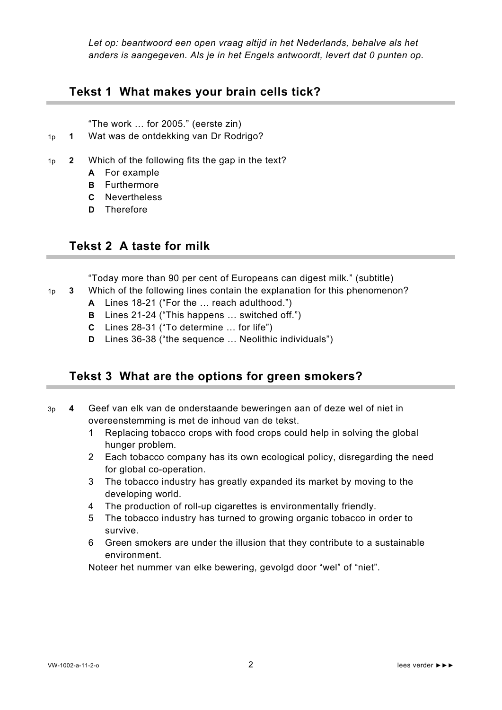*Let op: beantwoord een open vraag altijd in het Nederlands, behalve als het anders is aangegeven. Als je in het Engels antwoordt, levert dat 0 punten op.* 

#### **Tekst 1 What makes your brain cells tick?**

"The work … for 2005." (eerste zin)

- 1p **1** Wat was de ontdekking van Dr Rodrigo?
- 1p **2** Which of the following fits the gap in the text?
	- **A** For example
	- **B** Furthermore
	- **C** Nevertheless
	- **D** Therefore

#### **Tekst 2 A taste for milk**

"Today more than 90 per cent of Europeans can digest milk." (subtitle)

- 1p **3** Which of the following lines contain the explanation for this phenomenon?
	- **A** Lines 18-21 ("For the … reach adulthood.")
	- **B** Lines 21-24 ("This happens … switched off.")
	- **C** Lines 28-31 ("To determine … for life")
	- **D** Lines 36-38 ("the sequence … Neolithic individuals")

#### **Tekst 3 What are the options for green smokers?**

- 3p **4** Geef van elk van de onderstaande beweringen aan of deze wel of niet in overeenstemming is met de inhoud van de tekst.
	- 1 Replacing tobacco crops with food crops could help in solving the global hunger problem.
	- 2 Each tobacco company has its own ecological policy, disregarding the need for global co-operation.
	- 3 The tobacco industry has greatly expanded its market by moving to the developing world.
	- 4 The production of roll-up cigarettes is environmentally friendly.
	- 5 The tobacco industry has turned to growing organic tobacco in order to survive.
	- 6 Green smokers are under the illusion that they contribute to a sustainable environment.

Noteer het nummer van elke bewering, gevolgd door "wel" of "niet".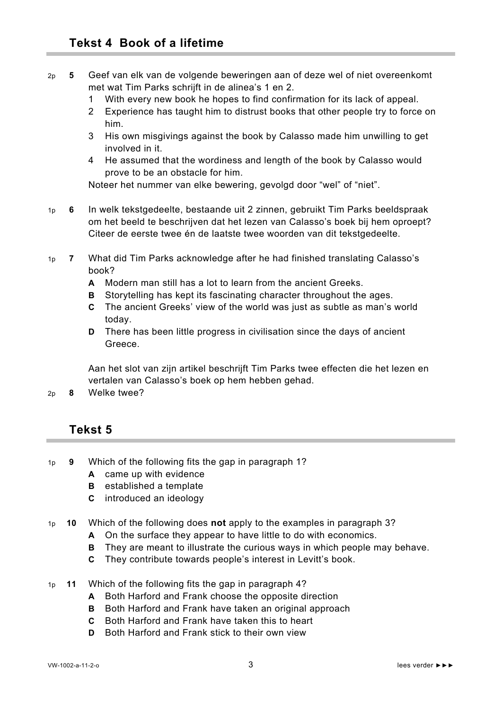- 2p **5** Geef van elk van de volgende beweringen aan of deze wel of niet overeenkomt met wat Tim Parks schrijft in de alinea's 1 en 2.
	- 1 With every new book he hopes to find confirmation for its lack of appeal.
	- 2 Experience has taught him to distrust books that other people try to force on him.
	- 3 His own misgivings against the book by Calasso made him unwilling to get involved in it.
	- 4 He assumed that the wordiness and length of the book by Calasso would prove to be an obstacle for him.

Noteer het nummer van elke bewering, gevolgd door "wel" of "niet".

- 1p **6** In welk tekstgedeelte, bestaande uit 2 zinnen, gebruikt Tim Parks beeldspraak om het beeld te beschrijven dat het lezen van Calasso's boek bij hem oproept? Citeer de eerste twee én de laatste twee woorden van dit tekstgedeelte.
- 1p **7** What did Tim Parks acknowledge after he had finished translating Calasso's book?
	- **A** Modern man still has a lot to learn from the ancient Greeks.
	- **B** Storytelling has kept its fascinating character throughout the ages.
	- **C** The ancient Greeks' view of the world was just as subtle as man's world today.
	- **D** There has been little progress in civilisation since the days of ancient Greece.

Aan het slot van zijn artikel beschrijft Tim Parks twee effecten die het lezen en vertalen van Calasso's boek op hem hebben gehad.

2p **8** Welke twee?

### **Tekst 5**

- 1p **9** Which of the following fits the gap in paragraph 1?
	- **A** came up with evidence
	- **B** established a template
	- **C** introduced an ideology
- 1p **10** Which of the following does **not** apply to the examples in paragraph 3?
	- **A** On the surface they appear to have little to do with economics.
	- **B** They are meant to illustrate the curious ways in which people may behave.
	- **C** They contribute towards people's interest in Levitt's book.
- 1p **11** Which of the following fits the gap in paragraph 4?
	- **A** Both Harford and Frank choose the opposite direction
	- **B** Both Harford and Frank have taken an original approach
	- **C** Both Harford and Frank have taken this to heart
	- **D** Both Harford and Frank stick to their own view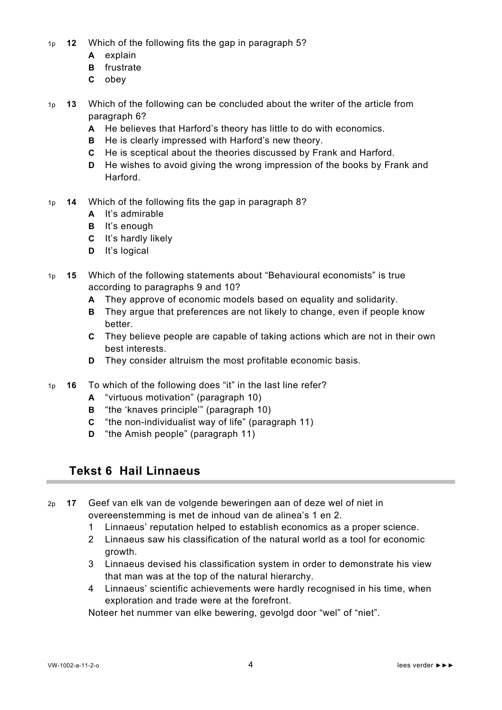- 1p **12** Which of the following fits the gap in paragraph 5?
	- **A** explain
		- **B** frustrate
		- **C** obey
- 1p **13** Which of the following can be concluded about the writer of the article from paragraph 6?
	- **A** He believes that Harford's theory has little to do with economics.
	- **B** He is clearly impressed with Harford's new theory.
	- **C** He is sceptical about the theories discussed by Frank and Harford.
	- **D** He wishes to avoid giving the wrong impression of the books by Frank and Harford.
- 1p **14** Which of the following fits the gap in paragraph 8?
	- **A** It's admirable
	- **B** It's enough
	- **C** It's hardly likely
	- **D** It's logical
- 1p **15** Which of the following statements about "Behavioural economists" is true according to paragraphs 9 and 10?
	- **A** They approve of economic models based on equality and solidarity.
	- **B** They argue that preferences are not likely to change, even if people know better.
	- **C** They believe people are capable of taking actions which are not in their own best interests.
	- **D** They consider altruism the most profitable economic basis.
- 1p **16** To which of the following does "it" in the last line refer?
	- **A** "virtuous motivation" (paragraph 10)
	- **B** "the 'knaves principle'" (paragraph 10)
	- **C** "the non-individualist way of life" (paragraph 11)
	- **D** "the Amish people" (paragraph 11)

#### **Tekst 6 Hail Linnaeus**

- 2p **17** Geef van elk van de volgende beweringen aan of deze wel of niet in
	- overeenstemming is met de inhoud van de alinea's 1 en 2.
	- 1 Linnaeus' reputation helped to establish economics as a proper science.
	- 2 Linnaeus saw his classification of the natural world as a tool for economic growth.
	- 3 Linnaeus devised his classification system in order to demonstrate his view that man was at the top of the natural hierarchy.
	- 4 Linnaeus' scientific achievements were hardly recognised in his time, when exploration and trade were at the forefront.

Noteer het nummer van elke bewering, gevolgd door "wel" of "niet".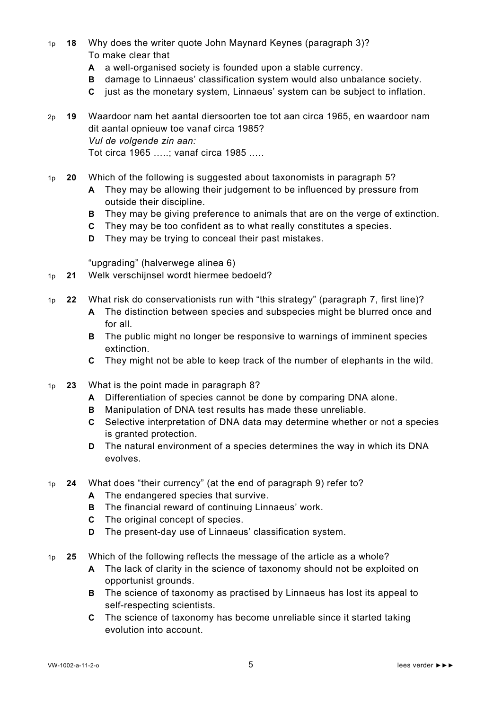- 1p **18** Why does the writer quote John Maynard Keynes (paragraph 3)? To make clear that
	- **A** a well-organised society is founded upon a stable currency.
	- **B** damage to Linnaeus' classification system would also unbalance society.
	- **C** just as the monetary system, Linnaeus' system can be subject to inflation.

2p **19** Waardoor nam het aantal diersoorten toe tot aan circa 1965, en waardoor nam dit aantal opnieuw toe vanaf circa 1985? *Vul de volgende zin aan:*  Tot circa 1965 …..; vanaf circa 1985 ..…

1p **20** Which of the following is suggested about taxonomists in paragraph 5?

- **A** They may be allowing their judgement to be influenced by pressure from outside their discipline.
- **B** They may be giving preference to animals that are on the verge of extinction.
- **C** They may be too confident as to what really constitutes a species.
- **D** They may be trying to conceal their past mistakes.

"upgrading" (halverwege alinea 6)

- 1p **21** Welk verschijnsel wordt hiermee bedoeld?
- 1p **22** What risk do conservationists run with "this strategy" (paragraph 7, first line)?
	- **A** The distinction between species and subspecies might be blurred once and for all.
	- **B** The public might no longer be responsive to warnings of imminent species extinction.
	- **C** They might not be able to keep track of the number of elephants in the wild.
- 1p **23** What is the point made in paragraph 8?
	- **A** Differentiation of species cannot be done by comparing DNA alone.
	- **B** Manipulation of DNA test results has made these unreliable.
	- **C** Selective interpretation of DNA data may determine whether or not a species is granted protection.
	- **D** The natural environment of a species determines the way in which its DNA evolves.
- 1p **24** What does "their currency" (at the end of paragraph 9) refer to?
	- **A** The endangered species that survive.
	- **B** The financial reward of continuing Linnaeus' work.
	- **C** The original concept of species.
	- **D** The present-day use of Linnaeus' classification system.
- 1p **25** Which of the following reflects the message of the article as a whole?
	- **A** The lack of clarity in the science of taxonomy should not be exploited on opportunist grounds.
	- **B** The science of taxonomy as practised by Linnaeus has lost its appeal to self-respecting scientists.
	- **C** The science of taxonomy has become unreliable since it started taking evolution into account.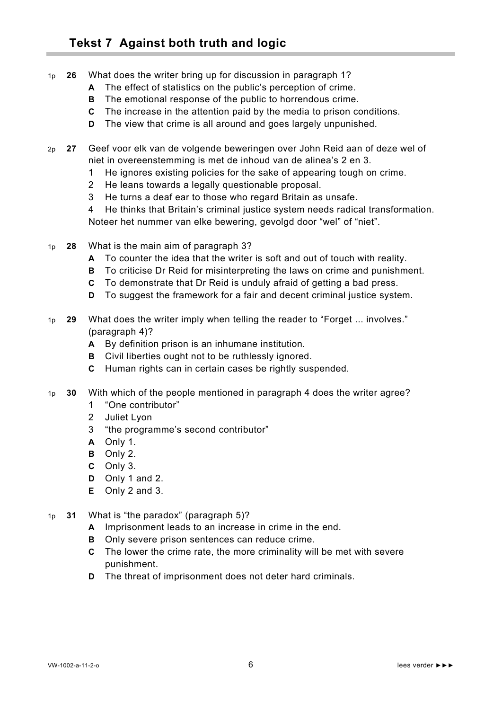- 1p **26** What does the writer bring up for discussion in paragraph 1?
	- **A** The effect of statistics on the public's perception of crime.
	- **B** The emotional response of the public to horrendous crime.
	- **C** The increase in the attention paid by the media to prison conditions.
	- **D** The view that crime is all around and goes largely unpunished.
- 2p **27** Geef voor elk van de volgende beweringen over John Reid aan of deze wel of niet in overeenstemming is met de inhoud van de alinea's 2 en 3.
	- 1 He ignores existing policies for the sake of appearing tough on crime.
	- 2 He leans towards a legally questionable proposal.
	- 3 He turns a deaf ear to those who regard Britain as unsafe.
	- 4 He thinks that Britain's criminal justice system needs radical transformation. Noteer het nummer van elke bewering, gevolgd door "wel" of "niet".
- 1p **28** What is the main aim of paragraph 3?
	- **A** To counter the idea that the writer is soft and out of touch with reality.
	- **B** To criticise Dr Reid for misinterpreting the laws on crime and punishment.
	- **C** To demonstrate that Dr Reid is unduly afraid of getting a bad press.
	- **D** To suggest the framework for a fair and decent criminal justice system.
- 1p **29** What does the writer imply when telling the reader to "Forget ... involves." (paragraph 4)?
	- **A** By definition prison is an inhumane institution.
	- **B** Civil liberties ought not to be ruthlessly ignored.
	- **C** Human rights can in certain cases be rightly suspended.
- 1p **30** With which of the people mentioned in paragraph 4 does the writer agree?
	- 1 "One contributor"
	- 2 Juliet Lyon
	- 3 "the programme's second contributor"
	- **A** Only 1.
	- **B** Only 2.
	- **C** Only 3.
	- **D** Only 1 and 2.
	- **E** Only 2 and 3.
- 1p **31** What is "the paradox" (paragraph 5)?
	- **A** Imprisonment leads to an increase in crime in the end.
	- **B** Only severe prison sentences can reduce crime.
	- **C** The lower the crime rate, the more criminality will be met with severe punishment.
	- **D** The threat of imprisonment does not deter hard criminals.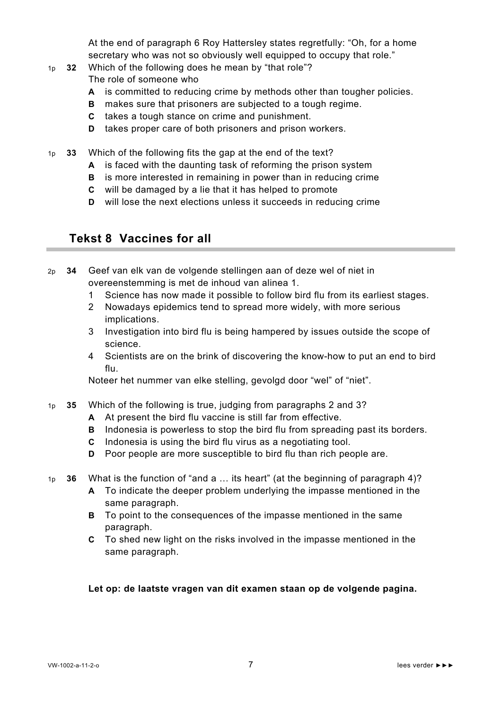At the end of paragraph 6 Roy Hattersley states regretfully: "Oh, for a home secretary who was not so obviously well equipped to occupy that role."

- 1p **32** Which of the following does he mean by "that role"? The role of someone who
	- **A** is committed to reducing crime by methods other than tougher policies.
	- **B** makes sure that prisoners are subjected to a tough regime.
	- **C** takes a tough stance on crime and punishment.
	- **D** takes proper care of both prisoners and prison workers.
- 1p **33** Which of the following fits the gap at the end of the text?
	- **A** is faced with the daunting task of reforming the prison system
	- **B** is more interested in remaining in power than in reducing crime
	- **C** will be damaged by a lie that it has helped to promote
	- **D** will lose the next elections unless it succeeds in reducing crime

#### **Tekst 8 Vaccines for all**

2p **34** Geef van elk van de volgende stellingen aan of deze wel of niet in overeenstemming is met de inhoud van alinea 1.

- 1 Science has now made it possible to follow bird flu from its earliest stages.
- 2 Nowadays epidemics tend to spread more widely, with more serious implications.
- 3 Investigation into bird flu is being hampered by issues outside the scope of science.
- 4 Scientists are on the brink of discovering the know-how to put an end to bird flu.

Noteer het nummer van elke stelling, gevolgd door "wel" of "niet".

- 1p **35** Which of the following is true, judging from paragraphs 2 and 3?
	- **A** At present the bird flu vaccine is still far from effective.
	- **B** Indonesia is powerless to stop the bird flu from spreading past its borders.
	- **C** Indonesia is using the bird flu virus as a negotiating tool.
	- **D** Poor people are more susceptible to bird flu than rich people are.
- 1p **36** What is the function of "and a … its heart" (at the beginning of paragraph 4)?
	- **A** To indicate the deeper problem underlying the impasse mentioned in the same paragraph.
		- **B** To point to the consequences of the impasse mentioned in the same paragraph.
		- **C** To shed new light on the risks involved in the impasse mentioned in the same paragraph.

#### **Let op: de laatste vragen van dit examen staan op de volgende pagina.**